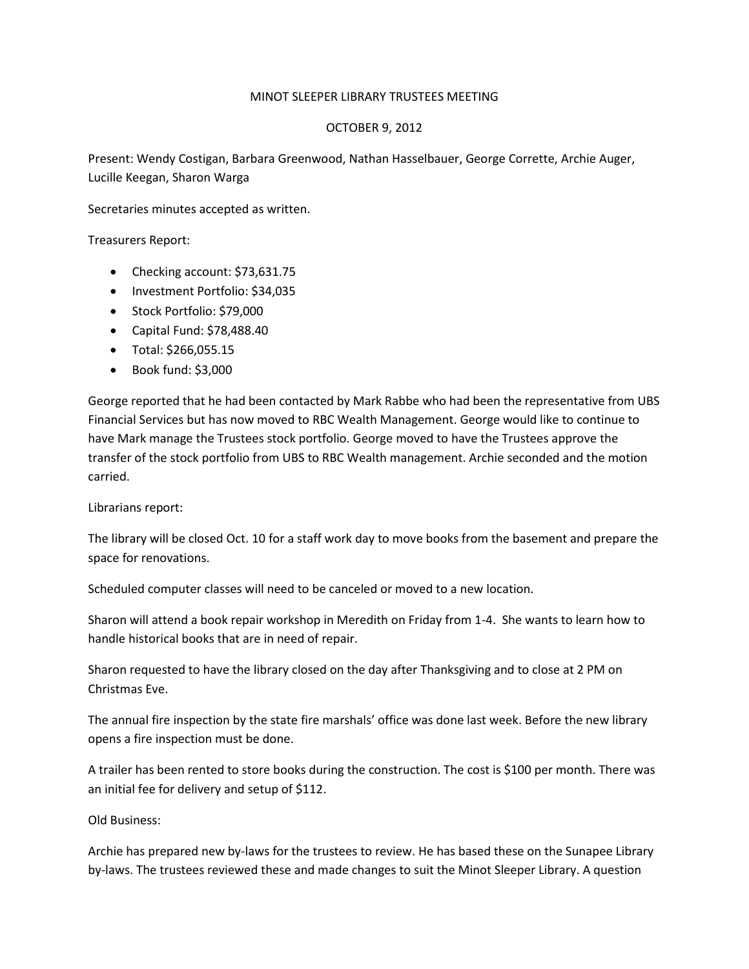## MINOT SLEEPER LIBRARY TRUSTEES MEETING

## OCTOBER 9, 2012

Present: Wendy Costigan, Barbara Greenwood, Nathan Hasselbauer, George Corrette, Archie Auger, Lucille Keegan, Sharon Warga

Secretaries minutes accepted as written.

Treasurers Report:

- Checking account: \$73,631.75
- Investment Portfolio: \$34,035
- Stock Portfolio: \$79,000
- Capital Fund: \$78,488.40
- Total: \$266,055.15
- $\bullet$  Book fund: \$3,000

George reported that he had been contacted by Mark Rabbe who had been the representative from UBS Financial Services but has now moved to RBC Wealth Management. George would like to continue to have Mark manage the Trustees stock portfolio. George moved to have the Trustees approve the transfer of the stock portfolio from UBS to RBC Wealth management. Archie seconded and the motion carried.

Librarians report:

The library will be closed Oct. 10 for a staff work day to move books from the basement and prepare the space for renovations.

Scheduled computer classes will need to be canceled or moved to a new location.

Sharon will attend a book repair workshop in Meredith on Friday from 1-4. She wants to learn how to handle historical books that are in need of repair.

Sharon requested to have the library closed on the day after Thanksgiving and to close at 2 PM on Christmas Eve.

The annual fire inspection by the state fire marshals' office was done last week. Before the new library opens a fire inspection must be done.

A trailer has been rented to store books during the construction. The cost is \$100 per month. There was an initial fee for delivery and setup of \$112.

Old Business:

Archie has prepared new by-laws for the trustees to review. He has based these on the Sunapee Library by-laws. The trustees reviewed these and made changes to suit the Minot Sleeper Library. A question